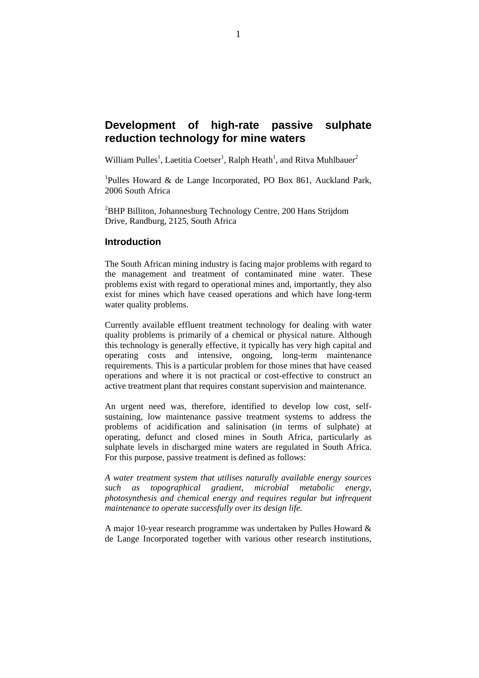# **Development of high-rate passive sulphate reduction technology for mine waters**

William Pulles<sup>1</sup>, Laetitia Coetser<sup>1</sup>, Ralph Heath<sup>1</sup>, and Ritva Muhlbauer<sup>2</sup>

<sup>1</sup>Pulles Howard & de Lange Incorporated, PO Box 861, Auckland Park, 2006 South Africa

<sup>2</sup>BHP Billiton, Johannesburg Technology Centre, 200 Hans Strijdom Drive, Randburg, 2125, South Africa

#### **Introduction**

The South African mining industry is facing major problems with regard to the management and treatment of contaminated mine water. These problems exist with regard to operational mines and, importantly, they also exist for mines which have ceased operations and which have long-term water quality problems.

Currently available effluent treatment technology for dealing with water quality problems is primarily of a chemical or physical nature. Although this technology is generally effective, it typically has very high capital and operating costs and intensive, ongoing, long-term maintenance requirements. This is a particular problem for those mines that have ceased operations and where it is not practical or cost-effective to construct an active treatment plant that requires constant supervision and maintenance.

An urgent need was, therefore, identified to develop low cost, selfsustaining, low maintenance passive treatment systems to address the problems of acidification and salinisation (in terms of sulphate) at operating, defunct and closed mines in South Africa, particularly as sulphate levels in discharged mine waters are regulated in South Africa. For this purpose, passive treatment is defined as follows:

*A water treatment system that utilises naturally available energy sources such as topographical gradient, microbial metabolic energy, photosynthesis and chemical energy and requires regular but infrequent maintenance to operate successfully over its design life.* 

A major 10-year research programme was undertaken by Pulles Howard & de Lange Incorporated together with various other research institutions,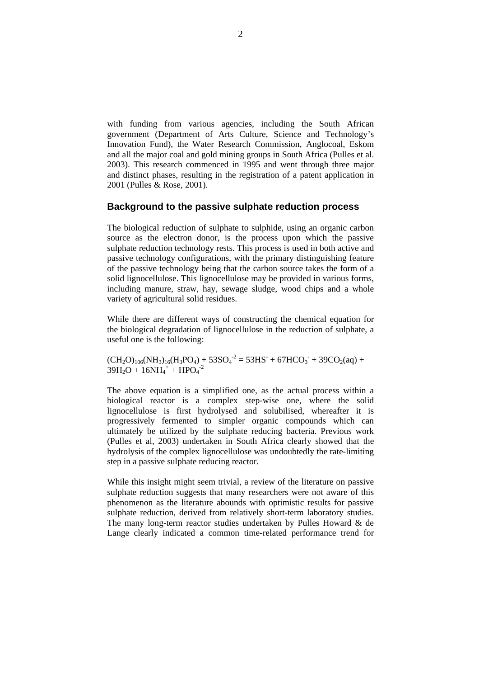with funding from various agencies, including the South African government (Department of Arts Culture, Science and Technology's Innovation Fund), the Water Research Commission, Anglocoal, Eskom and all the major coal and gold mining groups in South Africa (Pulles et al. 2003). This research commenced in 1995 and went through three major and distinct phases, resulting in the registration of a patent application in 2001 (Pulles & Rose, 2001).

## **Background to the passive sulphate reduction process**

The biological reduction of sulphate to sulphide, using an organic carbon source as the electron donor, is the process upon which the passive sulphate reduction technology rests. This process is used in both active and passive technology configurations, with the primary distinguishing feature of the passive technology being that the carbon source takes the form of a solid lignocellulose. This lignocellulose may be provided in various forms, including manure, straw, hay, sewage sludge, wood chips and a whole variety of agricultural solid residues.

While there are different ways of constructing the chemical equation for the biological degradation of lignocellulose in the reduction of sulphate, a useful one is the following:

 $(CH_2O)_{106}(NH_3)_{16}(H_3PO_4) + 53SO_4^{-2} = 53HS^{-} + 67HCO_3^{-} + 39CO_2(aq) +$  $39H_2O + 16NH_4^+ + HPO_4^{-2}$ 

The above equation is a simplified one, as the actual process within a biological reactor is a complex step-wise one, where the solid lignocellulose is first hydrolysed and solubilised, whereafter it is progressively fermented to simpler organic compounds which can ultimately be utilized by the sulphate reducing bacteria. Previous work (Pulles et al, 2003) undertaken in South Africa clearly showed that the hydrolysis of the complex lignocellulose was undoubtedly the rate-limiting step in a passive sulphate reducing reactor.

While this insight might seem trivial, a review of the literature on passive sulphate reduction suggests that many researchers were not aware of this phenomenon as the literature abounds with optimistic results for passive sulphate reduction, derived from relatively short-term laboratory studies. The many long-term reactor studies undertaken by Pulles Howard & de Lange clearly indicated a common time-related performance trend for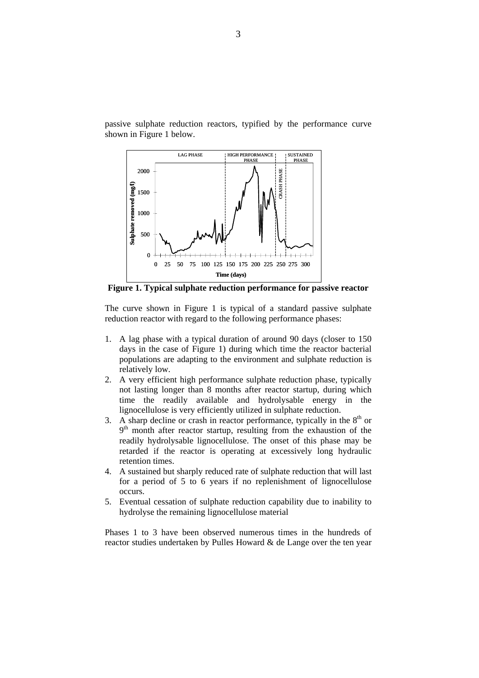passive sulphate reduction reactors, typified by the performance curve shown in Figure 1 below.



**Figure 1. Typical sulphate reduction performance for passive reactor** 

The curve shown in Figure 1 is typical of a standard passive sulphate reduction reactor with regard to the following performance phases:

- 1. A lag phase with a typical duration of around 90 days (closer to 150 days in the case of Figure 1) during which time the reactor bacterial populations are adapting to the environment and sulphate reduction is relatively low.
- 2. A very efficient high performance sulphate reduction phase, typically not lasting longer than 8 months after reactor startup, during which time the readily available and hydrolysable energy in the lignocellulose is very efficiently utilized in sulphate reduction.
- 3. A sharp decline or crash in reactor performance, typically in the  $8<sup>th</sup>$  or  $9<sup>th</sup>$  month after reactor startup, resulting from the exhaustion of the readily hydrolysable lignocellulose. The onset of this phase may be retarded if the reactor is operating at excessively long hydraulic retention times.
- 4. A sustained but sharply reduced rate of sulphate reduction that will last for a period of 5 to 6 years if no replenishment of lignocellulose occurs.
- 5. Eventual cessation of sulphate reduction capability due to inability to hydrolyse the remaining lignocellulose material

Phases 1 to 3 have been observed numerous times in the hundreds of reactor studies undertaken by Pulles Howard & de Lange over the ten year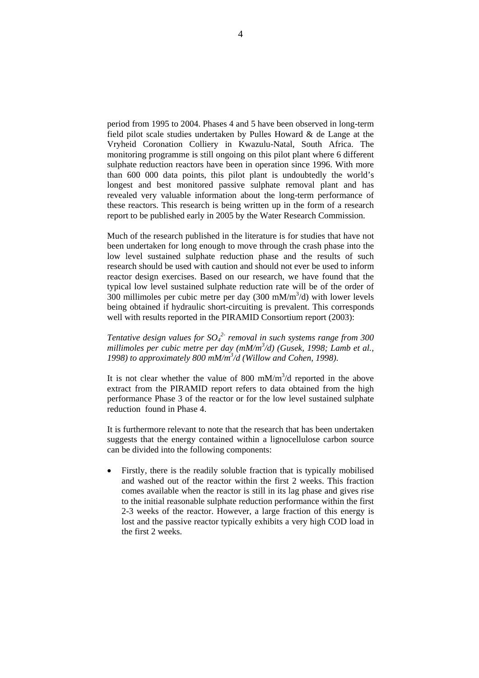period from 1995 to 2004. Phases 4 and 5 have been observed in long-term field pilot scale studies undertaken by Pulles Howard & de Lange at the Vryheid Coronation Colliery in Kwazulu-Natal, South Africa. The monitoring programme is still ongoing on this pilot plant where 6 different sulphate reduction reactors have been in operation since 1996. With more than 600 000 data points, this pilot plant is undoubtedly the world's longest and best monitored passive sulphate removal plant and has revealed very valuable information about the long-term performance of these reactors. This research is being written up in the form of a research report to be published early in 2005 by the Water Research Commission.

Much of the research published in the literature is for studies that have not been undertaken for long enough to move through the crash phase into the low level sustained sulphate reduction phase and the results of such research should be used with caution and should not ever be used to inform reactor design exercises. Based on our research, we have found that the typical low level sustained sulphate reduction rate will be of the order of 300 millimoles per cubic metre per day  $(300 \text{ mM/m}^3/d)$  with lower levels being obtained if hydraulic short-circuiting is prevalent. This corresponds well with results reported in the PIRAMID Consortium report (2003):

*Tentative design values for SO<sub>4</sub><sup>2</sup> removal in such systems range from 300 millimoles per cubic metre per day (mM/m<sup>3</sup> /d) (Gusek, 1998; Lamb et al., 1998) to approximately 800 mM/m<sup>3</sup> /d (Willow and Cohen, 1998).* 

It is not clear whether the value of 800 mM/ $m<sup>3</sup>/d$  reported in the above extract from the PIRAMID report refers to data obtained from the high performance Phase 3 of the reactor or for the low level sustained sulphate reduction found in Phase 4.

It is furthermore relevant to note that the research that has been undertaken suggests that the energy contained within a lignocellulose carbon source can be divided into the following components:

• Firstly, there is the readily soluble fraction that is typically mobilised and washed out of the reactor within the first 2 weeks. This fraction comes available when the reactor is still in its lag phase and gives rise to the initial reasonable sulphate reduction performance within the first 2-3 weeks of the reactor. However, a large fraction of this energy is lost and the passive reactor typically exhibits a very high COD load in the first 2 weeks.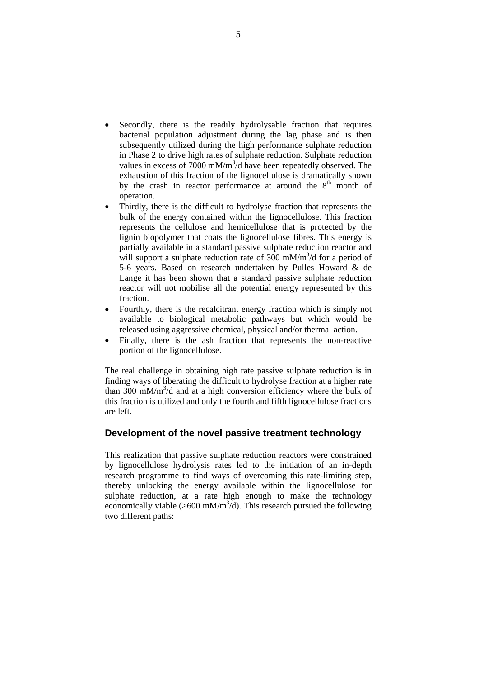- Secondly, there is the readily hydrolysable fraction that requires bacterial population adjustment during the lag phase and is then subsequently utilized during the high performance sulphate reduction in Phase 2 to drive high rates of sulphate reduction. Sulphate reduction values in excess of  $7000 \text{ mM/m}^3$ /d have been repeatedly observed. The exhaustion of this fraction of the lignocellulose is dramatically shown by the crash in reactor performance at around the  $8<sup>th</sup>$  month of operation.
- Thirdly, there is the difficult to hydrolyse fraction that represents the bulk of the energy contained within the lignocellulose. This fraction represents the cellulose and hemicellulose that is protected by the lignin biopolymer that coats the lignocellulose fibres. This energy is partially available in a standard passive sulphate reduction reactor and will support a sulphate reduction rate of  $300 \text{ mM/m}^3/d$  for a period of 5-6 years. Based on research undertaken by Pulles Howard & de Lange it has been shown that a standard passive sulphate reduction reactor will not mobilise all the potential energy represented by this fraction.
- Fourthly, there is the recalcitrant energy fraction which is simply not available to biological metabolic pathways but which would be released using aggressive chemical, physical and/or thermal action.
- Finally, there is the ash fraction that represents the non-reactive portion of the lignocellulose.

The real challenge in obtaining high rate passive sulphate reduction is in finding ways of liberating the difficult to hydrolyse fraction at a higher rate than  $300 \text{ mM/m}^3$ /d and at a high conversion efficiency where the bulk of this fraction is utilized and only the fourth and fifth lignocellulose fractions are left.

## **Development of the novel passive treatment technology**

This realization that passive sulphate reduction reactors were constrained by lignocellulose hydrolysis rates led to the initiation of an in-depth research programme to find ways of overcoming this rate-limiting step, thereby unlocking the energy available within the lignocellulose for sulphate reduction, at a rate high enough to make the technology economically viable ( $>600$  mM/m<sup>3</sup>/d). This research pursued the following two different paths: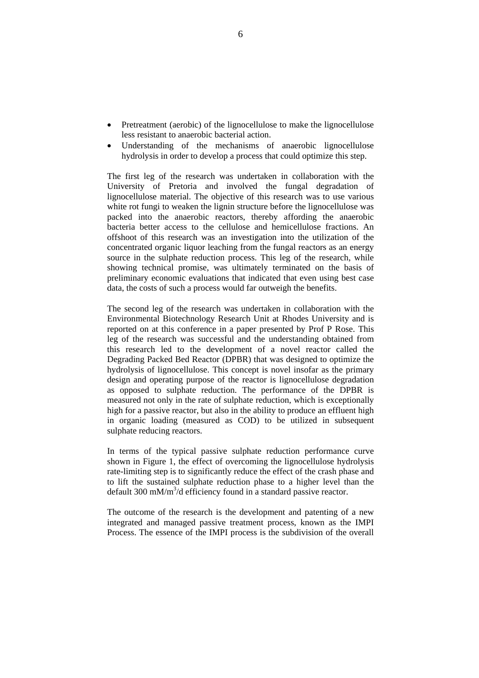- Pretreatment (aerobic) of the lignocellulose to make the lignocellulose less resistant to anaerobic bacterial action.
- Understanding of the mechanisms of anaerobic lignocellulose hydrolysis in order to develop a process that could optimize this step.

The first leg of the research was undertaken in collaboration with the University of Pretoria and involved the fungal degradation of lignocellulose material. The objective of this research was to use various white rot fungi to weaken the lignin structure before the lignocellulose was packed into the anaerobic reactors, thereby affording the anaerobic bacteria better access to the cellulose and hemicellulose fractions. An offshoot of this research was an investigation into the utilization of the concentrated organic liquor leaching from the fungal reactors as an energy source in the sulphate reduction process. This leg of the research, while showing technical promise, was ultimately terminated on the basis of preliminary economic evaluations that indicated that even using best case data, the costs of such a process would far outweigh the benefits.

The second leg of the research was undertaken in collaboration with the Environmental Biotechnology Research Unit at Rhodes University and is reported on at this conference in a paper presented by Prof P Rose. This leg of the research was successful and the understanding obtained from this research led to the development of a novel reactor called the Degrading Packed Bed Reactor (DPBR) that was designed to optimize the hydrolysis of lignocellulose. This concept is novel insofar as the primary design and operating purpose of the reactor is lignocellulose degradation as opposed to sulphate reduction. The performance of the DPBR is measured not only in the rate of sulphate reduction, which is exceptionally high for a passive reactor, but also in the ability to produce an effluent high in organic loading (measured as COD) to be utilized in subsequent sulphate reducing reactors.

In terms of the typical passive sulphate reduction performance curve shown in Figure 1, the effect of overcoming the lignocellulose hydrolysis rate-limiting step is to significantly reduce the effect of the crash phase and to lift the sustained sulphate reduction phase to a higher level than the default  $300 \text{ mM/m}^3$ /d efficiency found in a standard passive reactor.

The outcome of the research is the development and patenting of a new integrated and managed passive treatment process, known as the IMPI Process. The essence of the IMPI process is the subdivision of the overall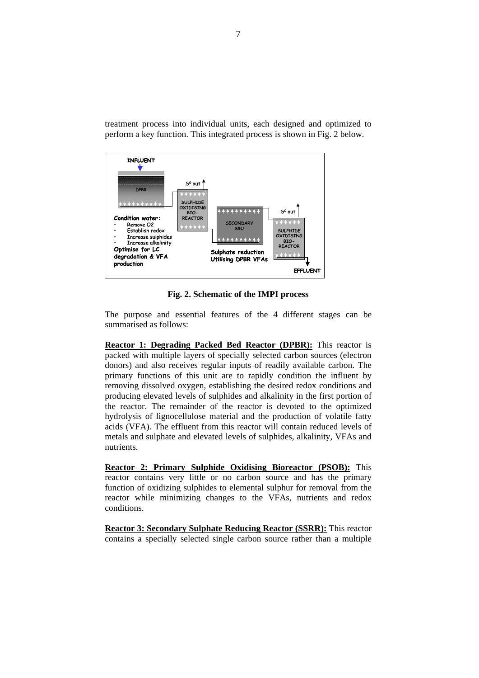



**Fig. 2. Schematic of the IMPI process** 

The purpose and essential features of the 4 different stages can be summarised as follows:

**Reactor 1: Degrading Packed Bed Reactor (DPBR):** This reactor is packed with multiple layers of specially selected carbon sources (electron donors) and also receives regular inputs of readily available carbon. The primary functions of this unit are to rapidly condition the influent by removing dissolved oxygen, establishing the desired redox conditions and producing elevated levels of sulphides and alkalinity in the first portion of the reactor. The remainder of the reactor is devoted to the optimized hydrolysis of lignocellulose material and the production of volatile fatty acids (VFA). The effluent from this reactor will contain reduced levels of metals and sulphate and elevated levels of sulphides, alkalinity, VFAs and nutrients.

**Reactor 2: Primary Sulphide Oxidising Bioreactor (PSOB):** This reactor contains very little or no carbon source and has the primary function of oxidizing sulphides to elemental sulphur for removal from the reactor while minimizing changes to the VFAs, nutrients and redox conditions.

**Reactor 3: Secondary Sulphate Reducing Reactor (SSRR):** This reactor contains a specially selected single carbon source rather than a multiple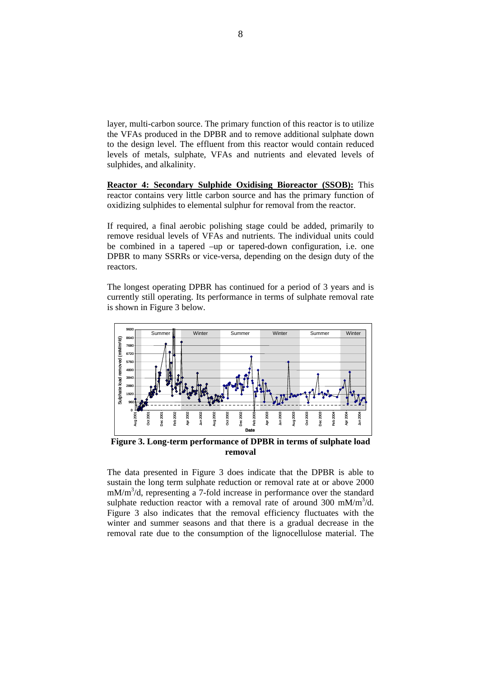layer, multi-carbon source. The primary function of this reactor is to utilize the VFAs produced in the DPBR and to remove additional sulphate down to the design level. The effluent from this reactor would contain reduced levels of metals, sulphate, VFAs and nutrients and elevated levels of sulphides, and alkalinity.

**Reactor 4: Secondary Sulphide Oxidising Bioreactor (SSOB):** This reactor contains very little carbon source and has the primary function of oxidizing sulphides to elemental sulphur for removal from the reactor.

If required, a final aerobic polishing stage could be added, primarily to remove residual levels of VFAs and nutrients. The individual units could be combined in a tapered –up or tapered-down configuration, i.e. one DPBR to many SSRRs or vice-versa, depending on the design duty of the reactors.

The longest operating DPBR has continued for a period of 3 years and is currently still operating. Its performance in terms of sulphate removal rate is shown in Figure 3 below.



**Figure 3. Long-term performance of DPBR in terms of sulphate load removal** 

The data presented in Figure 3 does indicate that the DPBR is able to sustain the long term sulphate reduction or removal rate at or above 2000 mM/m<sup>3</sup>/d, representing a 7-fold increase in performance over the standard sulphate reduction reactor with a removal rate of around 300 mM/m<sup>3</sup>/d. Figure 3 also indicates that the removal efficiency fluctuates with the winter and summer seasons and that there is a gradual decrease in the removal rate due to the consumption of the lignocellulose material. The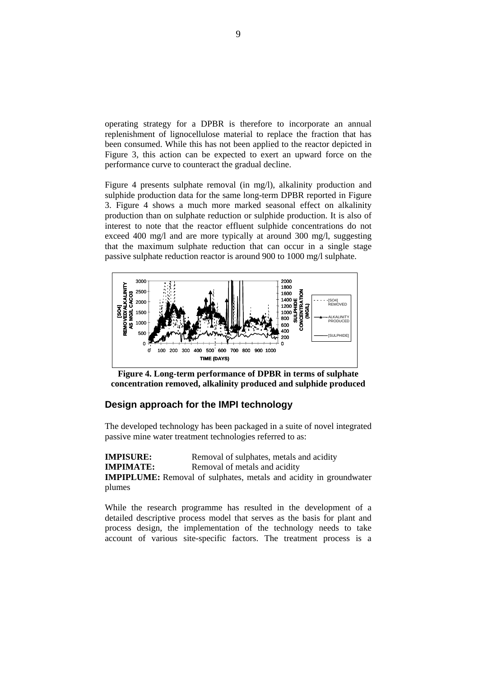operating strategy for a DPBR is therefore to incorporate an annual replenishment of lignocellulose material to replace the fraction that has been consumed. While this has not been applied to the reactor depicted in Figure 3, this action can be expected to exert an upward force on the performance curve to counteract the gradual decline.

Figure 4 presents sulphate removal (in mg/l), alkalinity production and sulphide production data for the same long-term DPBR reported in Figure 3. Figure 4 shows a much more marked seasonal effect on alkalinity production than on sulphate reduction or sulphide production. It is also of interest to note that the reactor effluent sulphide concentrations do not exceed 400 mg/l and are more typically at around 300 mg/l, suggesting that the maximum sulphate reduction that can occur in a single stage passive sulphate reduction reactor is around 900 to 1000 mg/l sulphate.



**Figure 4. Long-term performance of DPBR in terms of sulphate concentration removed, alkalinity produced and sulphide produced** 

# **Design approach for the IMPI technology**

The developed technology has been packaged in a suite of novel integrated passive mine water treatment technologies referred to as:

**IMPISURE:** Removal of sulphates, metals and acidity **IMPIMATE:** Removal of metals and acidity **IMPIPLUME:** Removal of sulphates, metals and acidity in groundwater plumes

While the research programme has resulted in the development of a detailed descriptive process model that serves as the basis for plant and process design, the implementation of the technology needs to take account of various site-specific factors. The treatment process is a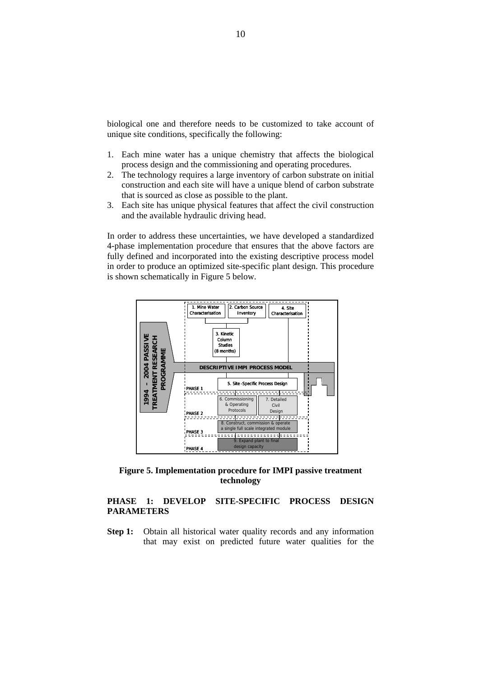biological one and therefore needs to be customized to take account of unique site conditions, specifically the following:

- 1. Each mine water has a unique chemistry that affects the biological process design and the commissioning and operating procedures.
- 2. The technology requires a large inventory of carbon substrate on initial construction and each site will have a unique blend of carbon substrate that is sourced as close as possible to the plant.
- 3. Each site has unique physical features that affect the civil construction and the available hydraulic driving head.

In order to address these uncertainties, we have developed a standardized 4-phase implementation procedure that ensures that the above factors are fully defined and incorporated into the existing descriptive process model in order to produce an optimized site-specific plant design. This procedure is shown schematically in Figure 5 below.



**Figure 5. Implementation procedure for IMPI passive treatment technology** 

# **PHASE 1: DEVELOP SITE-SPECIFIC PROCESS DESIGN PARAMETERS**

**Step 1:** Obtain all historical water quality records and any information that may exist on predicted future water qualities for the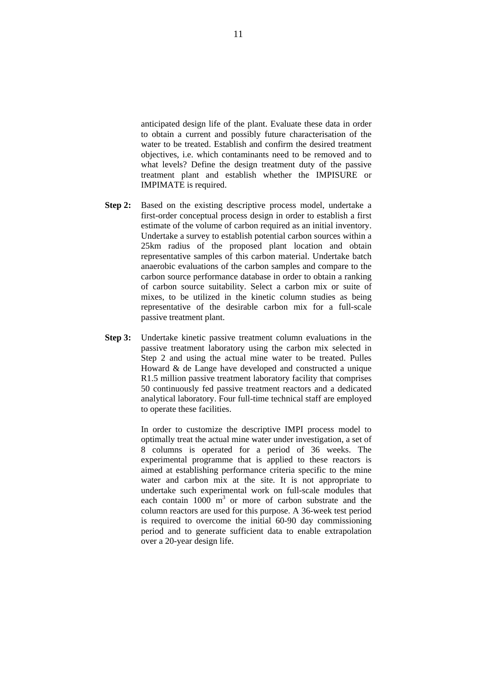anticipated design life of the plant. Evaluate these data in order to obtain a current and possibly future characterisation of the water to be treated. Establish and confirm the desired treatment objectives, i.e. which contaminants need to be removed and to what levels? Define the design treatment duty of the passive treatment plant and establish whether the IMPISURE or IMPIMATE is required.

- **Step 2:** Based on the existing descriptive process model, undertake a first-order conceptual process design in order to establish a first estimate of the volume of carbon required as an initial inventory. Undertake a survey to establish potential carbon sources within a 25km radius of the proposed plant location and obtain representative samples of this carbon material. Undertake batch anaerobic evaluations of the carbon samples and compare to the carbon source performance database in order to obtain a ranking of carbon source suitability. Select a carbon mix or suite of mixes, to be utilized in the kinetic column studies as being representative of the desirable carbon mix for a full-scale passive treatment plant.
- **Step 3:** Undertake kinetic passive treatment column evaluations in the passive treatment laboratory using the carbon mix selected in Step 2 and using the actual mine water to be treated. Pulles Howard & de Lange have developed and constructed a unique R1.5 million passive treatment laboratory facility that comprises 50 continuously fed passive treatment reactors and a dedicated analytical laboratory. Four full-time technical staff are employed to operate these facilities.

 In order to customize the descriptive IMPI process model to optimally treat the actual mine water under investigation, a set of 8 columns is operated for a period of 36 weeks. The experimental programme that is applied to these reactors is aimed at establishing performance criteria specific to the mine water and carbon mix at the site. It is not appropriate to undertake such experimental work on full-scale modules that each contain  $1000 \text{ m}^3$  or more of carbon substrate and the column reactors are used for this purpose. A 36-week test period is required to overcome the initial 60-90 day commissioning period and to generate sufficient data to enable extrapolation over a 20-year design life.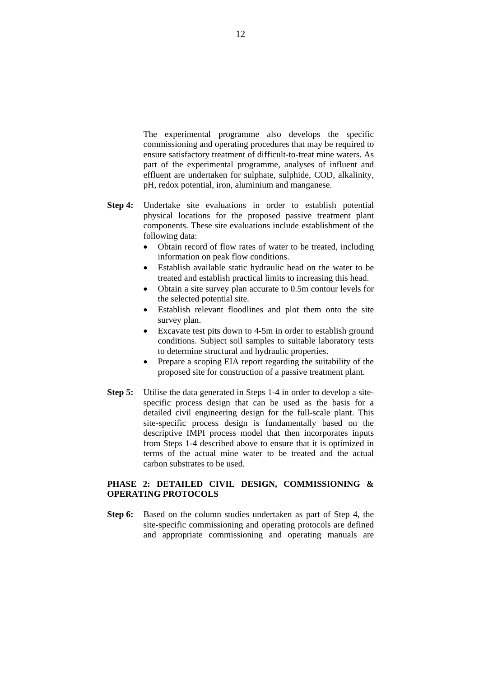The experimental programme also develops the specific commissioning and operating procedures that may be required to ensure satisfactory treatment of difficult-to-treat mine waters. As part of the experimental programme, analyses of influent and effluent are undertaken for sulphate, sulphide, COD, alkalinity, pH, redox potential, iron, aluminium and manganese.

- **Step 4:** Undertake site evaluations in order to establish potential physical locations for the proposed passive treatment plant components. These site evaluations include establishment of the following data:
	- Obtain record of flow rates of water to be treated, including information on peak flow conditions.
	- Establish available static hydraulic head on the water to be treated and establish practical limits to increasing this head.
	- Obtain a site survey plan accurate to 0.5m contour levels for the selected potential site.
	- Establish relevant floodlines and plot them onto the site survey plan.
	- Excavate test pits down to 4-5m in order to establish ground conditions. Subject soil samples to suitable laboratory tests to determine structural and hydraulic properties.
	- Prepare a scoping EIA report regarding the suitability of the proposed site for construction of a passive treatment plant.
- **Step 5:** Utilise the data generated in Steps 1-4 in order to develop a sitespecific process design that can be used as the basis for a detailed civil engineering design for the full-scale plant. This site-specific process design is fundamentally based on the descriptive IMPI process model that then incorporates inputs from Steps 1-4 described above to ensure that it is optimized in terms of the actual mine water to be treated and the actual carbon substrates to be used.

### **PHASE 2: DETAILED CIVIL DESIGN, COMMISSIONING & OPERATING PROTOCOLS**

**Step 6:** Based on the column studies undertaken as part of Step 4, the site-specific commissioning and operating protocols are defined and appropriate commissioning and operating manuals are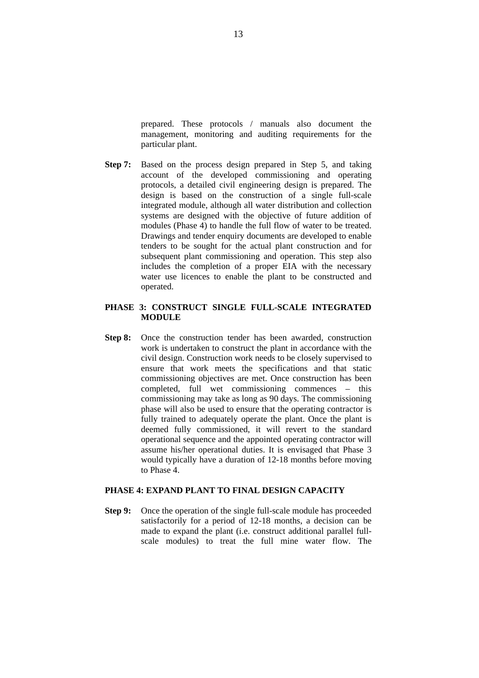prepared. These protocols / manuals also document the management, monitoring and auditing requirements for the particular plant.

**Step 7:** Based on the process design prepared in Step 5, and taking account of the developed commissioning and operating protocols, a detailed civil engineering design is prepared. The design is based on the construction of a single full-scale integrated module, although all water distribution and collection systems are designed with the objective of future addition of modules (Phase 4) to handle the full flow of water to be treated. Drawings and tender enquiry documents are developed to enable tenders to be sought for the actual plant construction and for subsequent plant commissioning and operation. This step also includes the completion of a proper EIA with the necessary water use licences to enable the plant to be constructed and operated.

#### **PHASE 3: CONSTRUCT SINGLE FULL-SCALE INTEGRATED MODULE**

**Step 8:** Once the construction tender has been awarded, construction work is undertaken to construct the plant in accordance with the civil design. Construction work needs to be closely supervised to ensure that work meets the specifications and that static commissioning objectives are met. Once construction has been completed, full wet commissioning commences – this commissioning may take as long as 90 days. The commissioning phase will also be used to ensure that the operating contractor is fully trained to adequately operate the plant. Once the plant is deemed fully commissioned, it will revert to the standard operational sequence and the appointed operating contractor will assume his/her operational duties. It is envisaged that Phase 3 would typically have a duration of 12-18 months before moving to Phase 4.

## **PHASE 4: EXPAND PLANT TO FINAL DESIGN CAPACITY**

**Step 9:** Once the operation of the single full-scale module has proceeded satisfactorily for a period of 12-18 months, a decision can be made to expand the plant (i.e. construct additional parallel fullscale modules) to treat the full mine water flow. The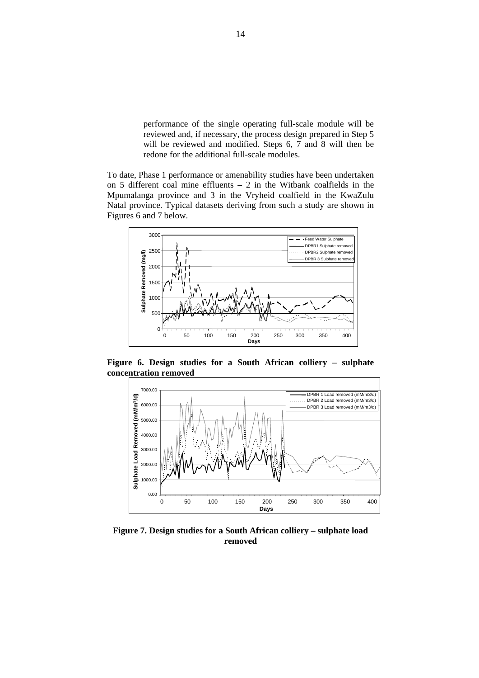performance of the single operating full-scale module will be reviewed and, if necessary, the process design prepared in Step 5 will be reviewed and modified. Steps 6, 7 and 8 will then be redone for the additional full-scale modules.

To date, Phase 1 performance or amenability studies have been undertaken on 5 different coal mine effluents – 2 in the Witbank coalfields in the Mpumalanga province and 3 in the Vryheid coalfield in the KwaZulu Natal province. Typical datasets deriving from such a study are shown in Figures 6 and 7 below.



**Figure 6. Design studies for a South African colliery – sulphate concentration removed** 



**Figure 7. Design studies for a South African colliery – sulphate load removed**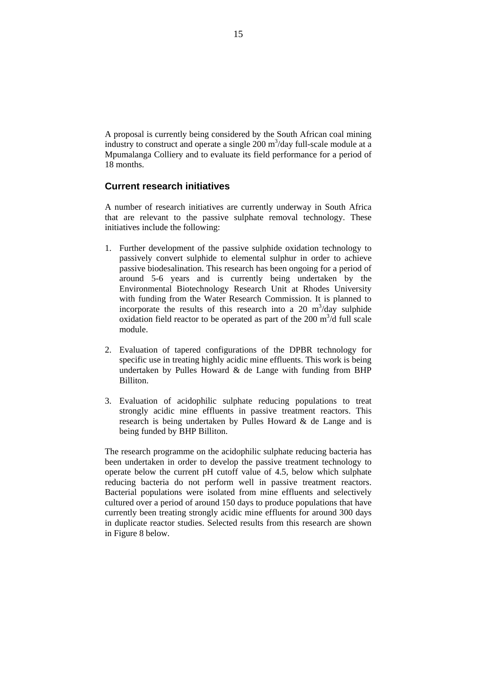A proposal is currently being considered by the South African coal mining industry to construct and operate a single  $200 \text{ m}^3/\text{day}$  full-scale module at a Mpumalanga Colliery and to evaluate its field performance for a period of 18 months.

# **Current research initiatives**

A number of research initiatives are currently underway in South Africa that are relevant to the passive sulphate removal technology. These initiatives include the following:

- 1. Further development of the passive sulphide oxidation technology to passively convert sulphide to elemental sulphur in order to achieve passive biodesalination. This research has been ongoing for a period of around 5-6 years and is currently being undertaken by the Environmental Biotechnology Research Unit at Rhodes University with funding from the Water Research Commission. It is planned to incorporate the results of this research into a 20  $m^3$ /day sulphide oxidation field reactor to be operated as part of the  $200 \text{ m}^3/\text{d}$  full scale module.
- 2. Evaluation of tapered configurations of the DPBR technology for specific use in treating highly acidic mine effluents. This work is being undertaken by Pulles Howard  $\&$  de Lange with funding from BHP **Billiton**
- 3. Evaluation of acidophilic sulphate reducing populations to treat strongly acidic mine effluents in passive treatment reactors. This research is being undertaken by Pulles Howard & de Lange and is being funded by BHP Billiton.

The research programme on the acidophilic sulphate reducing bacteria has been undertaken in order to develop the passive treatment technology to operate below the current pH cutoff value of 4.5, below which sulphate reducing bacteria do not perform well in passive treatment reactors. Bacterial populations were isolated from mine effluents and selectively cultured over a period of around 150 days to produce populations that have currently been treating strongly acidic mine effluents for around 300 days in duplicate reactor studies. Selected results from this research are shown in Figure 8 below.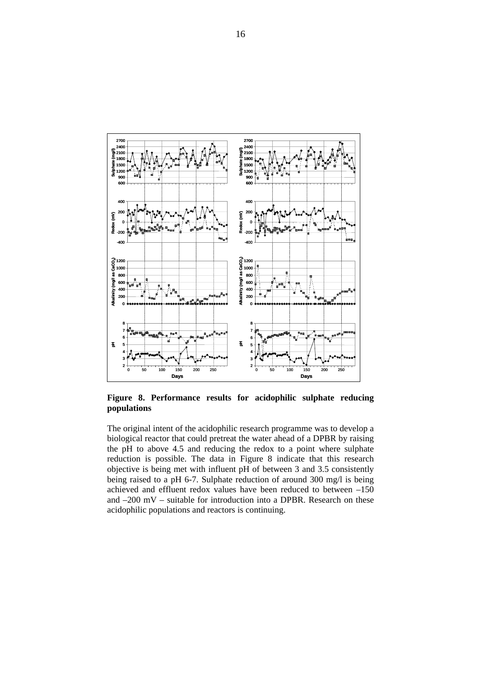

**Figure 8. Performance results for acidophilic sulphate reducing populations** 

The original intent of the acidophilic research programme was to develop a biological reactor that could pretreat the water ahead of a DPBR by raising the pH to above 4.5 and reducing the redox to a point where sulphate reduction is possible. The data in Figure 8 indicate that this research objective is being met with influent pH of between 3 and 3.5 consistently being raised to a pH 6-7. Sulphate reduction of around 300 mg/l is being achieved and effluent redox values have been reduced to between –150 and –200 mV – suitable for introduction into a DPBR. Research on these acidophilic populations and reactors is continuing.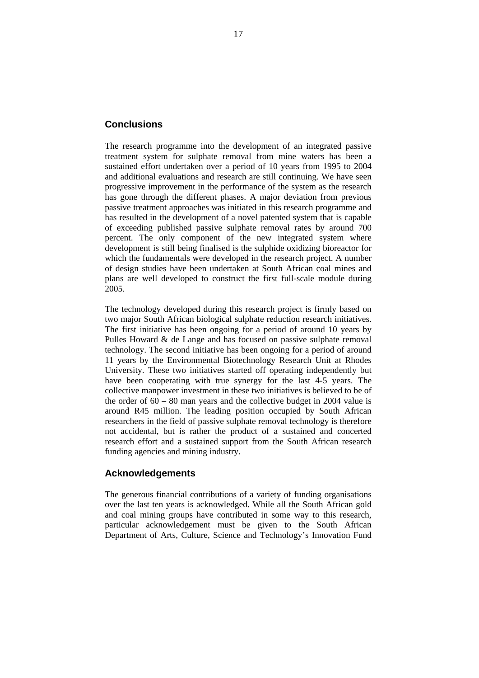## **Conclusions**

The research programme into the development of an integrated passive treatment system for sulphate removal from mine waters has been a sustained effort undertaken over a period of 10 years from 1995 to 2004 and additional evaluations and research are still continuing. We have seen progressive improvement in the performance of the system as the research has gone through the different phases. A major deviation from previous passive treatment approaches was initiated in this research programme and has resulted in the development of a novel patented system that is capable of exceeding published passive sulphate removal rates by around 700 percent. The only component of the new integrated system where development is still being finalised is the sulphide oxidizing bioreactor for which the fundamentals were developed in the research project. A number of design studies have been undertaken at South African coal mines and plans are well developed to construct the first full-scale module during 2005.

The technology developed during this research project is firmly based on two major South African biological sulphate reduction research initiatives. The first initiative has been ongoing for a period of around 10 years by Pulles Howard & de Lange and has focused on passive sulphate removal technology. The second initiative has been ongoing for a period of around 11 years by the Environmental Biotechnology Research Unit at Rhodes University. These two initiatives started off operating independently but have been cooperating with true synergy for the last 4-5 years. The collective manpower investment in these two initiatives is believed to be of the order of  $60 - 80$  man years and the collective budget in 2004 value is around R45 million. The leading position occupied by South African researchers in the field of passive sulphate removal technology is therefore not accidental, but is rather the product of a sustained and concerted research effort and a sustained support from the South African research funding agencies and mining industry.

# **Acknowledgements**

The generous financial contributions of a variety of funding organisations over the last ten years is acknowledged. While all the South African gold and coal mining groups have contributed in some way to this research, particular acknowledgement must be given to the South African Department of Arts, Culture, Science and Technology's Innovation Fund